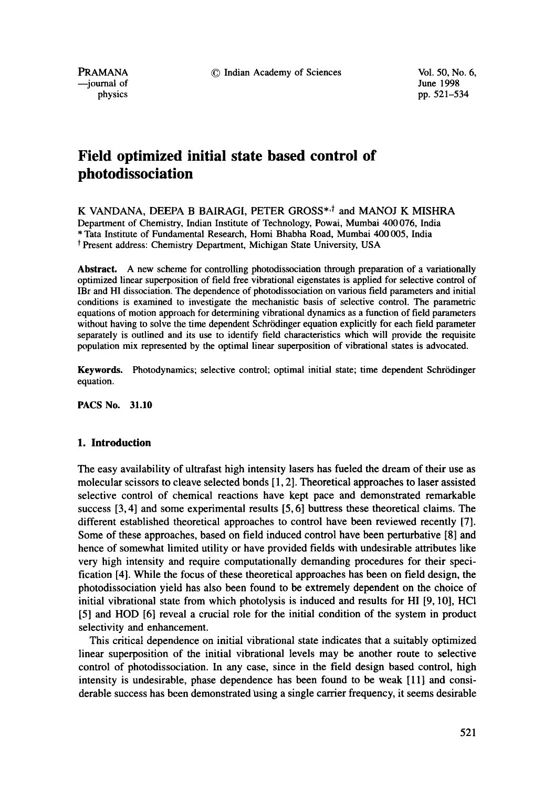PRAMANA C Indian Academy of Sciences Vol. 50, No. 6,<br>
—journal of June 1998

--journal of

physics pp. 521–534

# **Field optimized initial state based control of photodissociation**

K VANDANA, DEEPA B BAIRAGI, PETER GROSS\*<sup>,†</sup> and MANOJ K MISHRA Department of Chemistry, Indian Institute of Technology, Powai, Mumbai 400 076, India \* Tata Institute of Fundamental Research, Homi Bhabha Road, Mumbai 400 005, India t Present address: Chemistry Department, Michigan State University, USA

**Abstract.** A new scheme for controlling photodissociation through preparation of a variationally optimized linear superposition of field free vibrational eigenstates is applied for selective control of IBr and HI dissociation. The dependence of photodissociation on various field parameters and initial conditions is examined to investigate the mechanistic basis of selective control. The parametric equations of motion approach for determining vibrational dynamics as a function of field parameters without having to solve the time dependent Schrödinger equation explicitly for each field parameter separately is outlined and its use to identify field characteristics which will provide the requisite population mix represented by the optimal linear superposition of vibrational states is advocated.

Keywords. Photodynamics; selective control; optimal initial state; time dependent Schrödinger equation.

**PACS No.** 31.10

#### **1. Introduction**

The easy availability of ultrafast high intensity lasers has fueled the dream of their use as molecular scissors to cleave selected bonds [1, 2]. Theoretical approaches to laser assisted selective control of chemical reactions have kept pace and demonstrated remarkable success [3, 4] and some experimental results [5, 6] buttress these theoretical claims. The different established theoretical approaches to control have been reviewed recently [7]. Some of these approaches, based on field induced control have been perturbative [8] and hence of somewhat limited utility or have provided fields with undesirable attributes like very high intensity and require computationally demanding procedures for their specification [4]. While the focus of these theoretical approaches has been on field design, the photodissociation yield has also been found to be extremely dependent on the choice of initial vibrational state from which photolysis is induced and results for HI [9, 10], HC1 [5] and HOD [6] reveal a crucial role for the initial condition of the system in product selectivity and enhancement.

This critical dependence on initial vibrational state indicates that a suitably optimized linear superposition of the initial vibrational levels may be another route to selective control of photodissociation. In any case, since in the field design based control, high intensity is undesirable, phase dependence has been found to be weak [11] and considerable success has been demonstrated Using a single carrier frequency, it seems desirable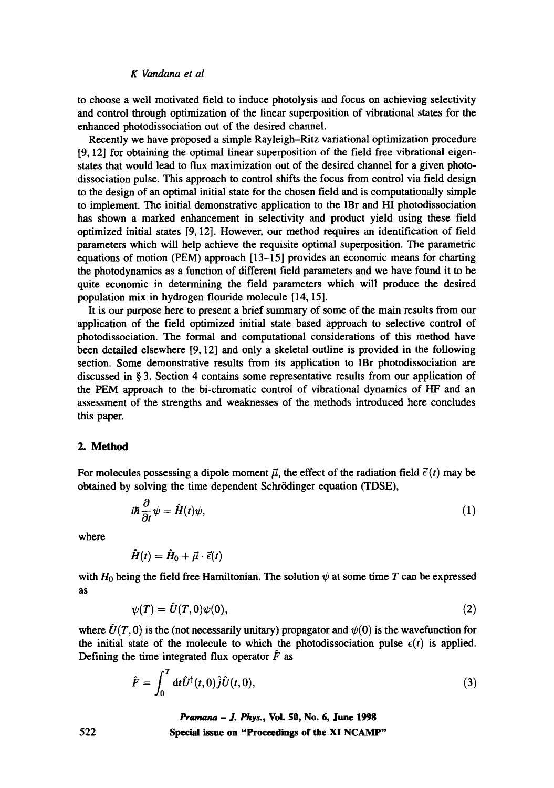to choose a well motivated field to induce photolysis and focus on achieving selectivity and control through optimization of the linear superposition of vibrational states for the enhanced photodissociation out of the desired channel.

Recently we have proposed a simple Rayleigh-Ritz variational optimization procedure [9, 12] for obtaining the optimal linear superposition of the field free vibrational eigenstates that would lead to flux maximization out of the desired channel for a given photodissociation pulse. This approach to control shifts the focus from control via field design to the design of an optimal initial state for the chosen field and is computationally simple to implement. The initial demonstrative application to the IBr and HI photodissociation has shown a marked enhancement in selectivity and product yield using these field optimized initial states [9, 12]. However, our method requires an identification of field parameters which will help achieve the requisite optimal superposition. The parametric equations of motion (PEM) approach [13-151 provides an economic means for charting the photodynamics as a function of different field parameters and we have found it to be quite economic in determining the field parameters which will produce the desired population mix in hydrogen flouride molecule [14, 15].

It is our purpose here to present a brief summary of some of the main results from our application of the field optimized initial state based approach to selective control of photodissociation. The formal and computational considerations of this method have been detailed elsewhere [9, 12] and only a skeletal outline is provided in the following section. Some demonstrative results from its application to IBr photodissociation are discussed in § 3. Section 4 contains some representative results from our application of the PEM approach to the bi-chromatic control of vibrational dynamics of HF and an assessment of the strengths and weaknesses of the methods introduced here concludes this paper.

#### **2. Method**

For molecules possessing a dipole moment  $\vec{\mu}$ , the effect of the radiation field  $\vec{\epsilon}(t)$  may be obtained by solving the time dependent Schrödinger equation (TDSE),

$$
i\hbar \frac{\partial}{\partial t} \psi = \hat{H}(t)\psi, \tag{1}
$$

where

$$
\hat{H}(t)=\hat{H}_0+\vec{\mu}\cdot\vec{\epsilon}(t)
$$

with  $H_0$  being the field free Hamiltonian. The solution  $\psi$  at some time T can be expressed as

$$
\psi(T) = \hat{U}(T,0)\psi(0),\tag{2}
$$

where  $\hat{U}(T, 0)$  is the (not necessarily unitary) propagator and  $\psi(0)$  is the wavefunction for the initial state of the molecule to which the photodissociation pulse  $\epsilon(t)$  is applied. Defining the time integrated flux operator  $\hat{F}$  as

$$
\hat{F} = \int_0^T dt \hat{U}^\dagger(t,0) \hat{j} \hat{U}(t,0), \tag{3}
$$

*Pramana - J. Phys.,* **Vol. 50, No. 6, June 1998** 

**Special issue on "Proceedings of the XI NCAMP"**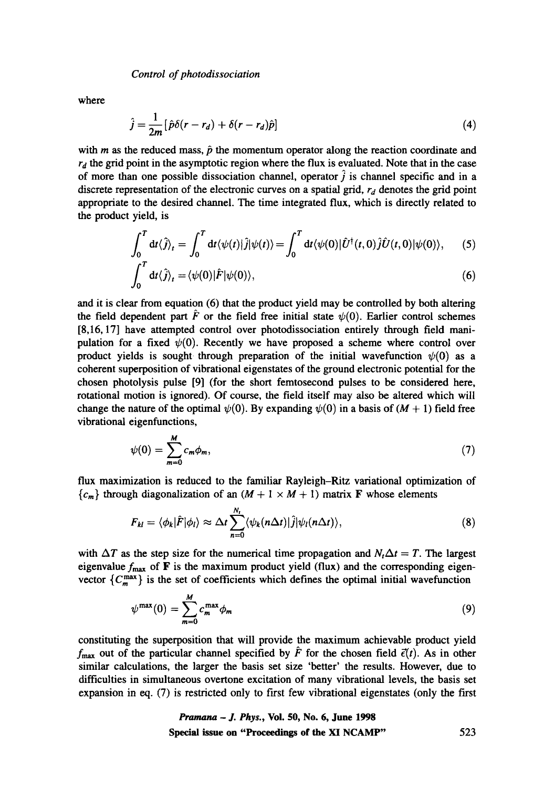where

$$
\hat{j} = \frac{1}{2m} [\hat{p}\delta(r - r_d) + \delta(r - r_d)\hat{p}] \tag{4}
$$

with  $m$  as the reduced mass,  $\hat{p}$  the momentum operator along the reaction coordinate and  $r<sub>d</sub>$  the grid point in the asymptotic region where the flux is evaluated. Note that in the case of more than one possible dissociation channel, operator  $\hat{j}$  is channel specific and in a discrete representation of the electronic curves on a spatial grid, *ra* denotes the grid point appropriate to the desired channel. The time integrated flux, which is directly related to the product yield, is

$$
\int_0^T dt \langle \hat{j} \rangle_t = \int_0^T dt \langle \psi(t) | \hat{j} | \psi(t) \rangle = \int_0^T dt \langle \psi(0) | \hat{U}^\dagger(t,0) \hat{j} \hat{U}(t,0) | \psi(0) \rangle, \tag{5}
$$

$$
\int_0^T dt \langle \hat{j} \rangle_t = \langle \psi(0) | \hat{F} | \psi(0) \rangle, \tag{6}
$$

and it is clear from equation (6) that the product yield may be controlled by both altering the field dependent part  $\hat{F}$  or the field free initial state  $\psi(0)$ . Earlier control schemes [8,16, 17] have attempted control over photodissociation entirely through field manipulation for a fixed  $\psi(0)$ . Recently we have proposed a scheme where control over product yields is sought through preparation of the initial wavefunction  $\psi(0)$  as a coherent superposition of vibrational eigenstates of the ground electronic potential for the chosen photolysis pulse [9] (for the short femtosecond pulses to be considered here, rotational motion is ignored). Of course, the field itself may also be altered which will change the nature of the optimal  $\psi(0)$ . By expanding  $\psi(0)$  in a basis of  $(M + 1)$  field free vibrational eigenfunctions,

$$
\psi(0) = \sum_{m=0}^{M} c_m \phi_m,\tag{7}
$$

flux maximization is reduced to the familiar Rayleigh-Ritz variational optimization of  ${c_m}$  through diagonalization of an  $(M + 1 \times M + 1)$  matrix **F** whose elements

$$
F_{kl} = \langle \phi_k | \hat{F} | \phi_l \rangle \approx \Delta t \sum_{n=0}^{N_t} \langle \psi_k(n\Delta t) | \hat{j} | \psi_l(n\Delta t) \rangle, \tag{8}
$$

with  $\Delta T$  as the step size for the numerical time propagation and  $N_t \Delta t = T$ . The largest eigenvalue  $f_{\text{max}}$  of **F** is the maximum product yield (flux) and the corresponding eigenvector  ${C<sub>m</sub><sup>max</sup>}$  is the set of coefficients which defines the optimal initial wavefunction

$$
\psi^{\max}(0) = \sum_{m=0}^{M} c_m^{\max} \phi_m \tag{9}
$$

constituting the superposition that will provide the maximum achievable product yield  $f_{\text{max}}$  out of the particular channel specified by  $\hat{F}$  for the chosen field  $\vec{\epsilon}(t)$ . As in other similar calculations, the larger the basis set size 'better' the results. However, due to difficulties in simultaneous overtone excitation of many vibrational levels, the basis set expansion in eq. (7) is restricted only to first few vibrational eigenstates (only the first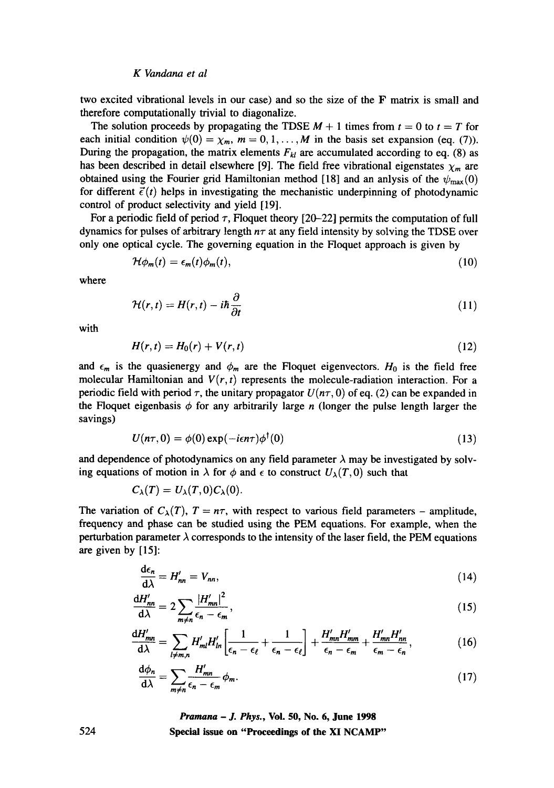two excited vibrational levels in our case) and so the size of the F matrix is small and therefore computationally trivial to diagonalize.

The solution proceeds by propagating the TDSE  $M + 1$  times from  $t = 0$  to  $t = T$  for each initial condition  $\psi(0) = \chi_m$ ,  $m = 0, 1, \ldots, M$  in the basis set expansion (eq. (7)). During the propagation, the matrix elements  $F_{kl}$  are accumulated according to eq. (8) as has been described in detail elsewhere [9]. The field free vibrational eigenstates  $\chi_m$  are obtained using the Fourier grid Hamiltonian method [18] and an anlysis of the  $\psi_{\text{max}}(0)$ for different  $\vec{\epsilon}(t)$  helps in investigating the mechanistic underpinning of photodynamic control of product selectivity and yield [19].

For a periodic field of period  $\tau$ , Floquet theory [20-22] permits the computation of full dynamics for pulses of arbitrary length  $n\tau$  at any field intensity by solving the TDSE over only one optical cycle. The governing equation in the Floquet approach is given by

$$
\mathcal{H}\phi_m(t) = \epsilon_m(t)\phi_m(t),\tag{10}
$$

where

$$
\mathcal{H}(r,t) = H(r,t) - i\hbar \frac{\partial}{\partial t} \tag{11}
$$

with

$$
H(r,t) = H_0(r) + V(r,t)
$$
\n(12)

and  $\epsilon_m$  is the quasienergy and  $\phi_m$  are the Floquet eigenvectors.  $H_0$  is the field free molecular Hamiltonian and  $V(r, t)$  represents the molecule-radiation interaction. For a periodic field with period  $\tau$ , the unitary propagator  $U(n\tau, 0)$  of eq. (2) can be expanded in the Floquet eigenbasis  $\phi$  for any arbitrarily large n (longer the pulse length larger the savings)

$$
U(n\tau,0) = \phi(0) \exp(-i\epsilon n\tau)\phi^{\dagger}(0)
$$
\n(13)

and dependence of photodynamics on any field parameter  $\lambda$  may be investigated by solving equations of motion in  $\lambda$  for  $\phi$  and  $\epsilon$  to construct  $U_{\lambda}(T, 0)$  such that

 $C_\lambda(T) = U_\lambda(T,0)C_\lambda(0).$ 

The variation of  $C_{\lambda}(T)$ ,  $T = n\tau$ , with respect to various field parameters – amplitude, frequency and phase can be studied using the PEM equations. For example, when the perturbation parameter  $\lambda$  corresponds to the intensity of the laser field, the PEM equations are given by [15]:

$$
\frac{d\epsilon_n}{d\lambda} = H'_{nn} = V_{nn},\tag{14}
$$

$$
\frac{dH'_{nn}}{d\lambda} = 2 \sum_{m \neq n} \frac{|H'_{mn}|^2}{\epsilon_n - \epsilon_m},\tag{15}
$$

$$
\frac{dH'_{mn}}{d\lambda} = \sum_{l \neq m,n} H'_{ml} H'_{ln} \left[ \frac{1}{\epsilon_n - \epsilon_\ell} + \frac{1}{\epsilon_n - \epsilon_\ell} \right] + \frac{H'_{mn} H'_{mm}}{\epsilon_n - \epsilon_m} + \frac{H'_{mn} H'_{nn}}{\epsilon_m - \epsilon_n},\tag{16}
$$

$$
\frac{d\phi_n}{d\lambda} = \sum_{m \neq n} \frac{H'_{mn}}{\epsilon_n - \epsilon_m} \phi_m.
$$
 (17)

*Pramana - J. Phys.,* **Vol. 50, No. 6, June 1998 Special issue on "Proceedings of the XI NCAMP"**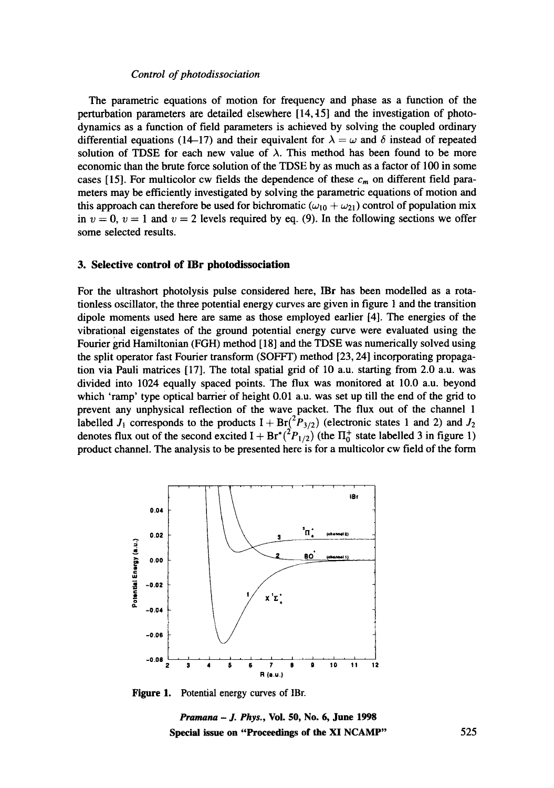The parametric equations of motion for frequency and phase as a function of the perturbation parameters are detailed elsewhere [14,45] and the investigation of photodynamics as a function of field parameters is achieved by solving the coupled ordinary differential equations (14-17) and their equivalent for  $\lambda = \omega$  and  $\delta$  instead of repeated solution of TDSE for each new value of  $\lambda$ . This method has been found to be more economic than the brute force solution of the TDSE by as much as a factor of 100 in some cases [15]. For multicolor cw fields the dependence of these  $c_m$  on different field parameters may be efficiently investigated by solving the parametric equations of motion and this approach can therefore be used for bichromatic ( $\omega_{10} + \omega_{21}$ ) control of population mix in  $v = 0$ ,  $v = 1$  and  $v = 2$  levels required by eq. (9). In the following sections we offer some selected results.

#### **3. Selective control of IBr photodissociation**

For the ultrashort photolysis pulse considered here, IBr has been modelled as a rotationless oscillator, the three potential energy curves are given in figure 1 and the transition dipole moments used here are same as those employed earlier [4]. The energies of the vibrational eigenstates of the ground potential energy curve were evaluated using the Fourier grid Hamiltonian (FGH) method [18] and the TDSE was numerically solved using the split operator fast Fourier transform (SOFFI') method [23, 24] incorporating propagation via Pauli matrices [17]. The total spatial grid of 10 a.u. starting from 2.0 a.u. was divided into 1024 equally spaced points. The flux was monitored at 10.0 a.u. beyond which 'ramp' type optical barrier of height 0.01 a.u. was set up till the end of the grid to prevent any unphysical reflection of the wave packet. The flux out of the channel 1 labelled  $J_1$  corresponds to the products  $I + Br(^2P_{3/2})$  (electronic states 1 and 2) and  $J_2$ denotes flux out of the second excited  $I + Br^{*}({^{2}P_{1/2}})$  (the  $\Pi_{0}^{+}$  state labelled 3 in figure 1) product channel. The analysis to be presented here is for a multicolor cw field of the form



**Figure 1.** Potential energy curves of IBr.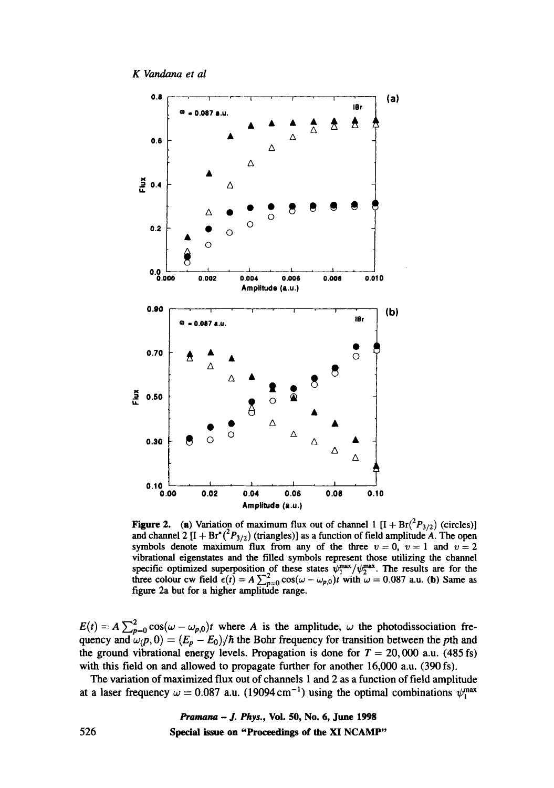

Figure 2. (a) Variation of maximum flux out of channel 1  $[I + Br(^2P_{3/2})$  (circles)] and channel 2  $[I + Br^*(^2P_{3/2})$  (triangles)] as a function of field amplitude A. The open symbols denote maximum flux from any of the three  $v = 0$ ,  $v = 1$  and  $v = 2$ vibrational eigenstates and the filled symbols represent those utilizing the channel specific optimized superposition of these states  $\psi_1^{\max}/\psi_2^{\max}$ . The results are for the three colour cw field  $\epsilon(t) = A \sum_{n=0}^{t} \cos((\omega - \omega_{p,0})t \text{ with } \omega = 0.087 \text{ a.u.}$  (b) Same as figure 2a but for a higher amplitude range.

 $E(t) = A \sum_{p=0}^{2} \cos((\omega - \omega_{p,0})t)$  where A is the amplitude,  $\omega$  the photodissociation frequency and  $\omega(p, 0) = (E_p - E_0)/\hbar$  the Bohr frequency for transition between the pth and the ground vibrational energy levels. Propagation is done for  $T = 20,000$  a.u. (485 fs) with this field on and allowed to propagate further for another 16,000 a.u. (390 fs).

The variation of maximized flux out of channels 1 and 2 as a function of field amplitude at a laser frequency  $\omega = 0.087$  a.u. (19094 cm<sup>-1</sup>) using the optimal combinations  $\psi_1^{\text{max}}$ 

> *Pramana - J. Phys.,* Vol. 50, No. 6, June 1998 Special issue on "Proceedings of the XI NCAMP"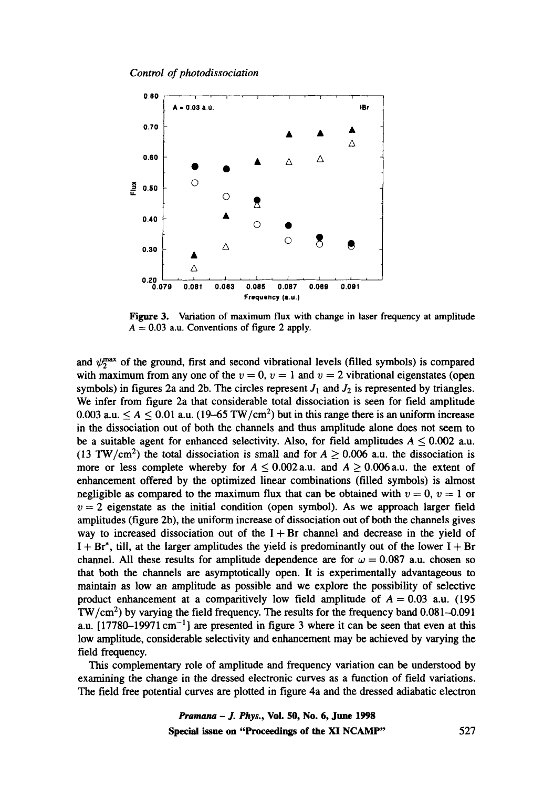

Figure 3. Variation of maximum flux with change in laser frequency at amplitude  $A = 0.03$  a.u. Conventions of figure 2 apply.

and  $\psi_2^{\text{max}}$  of the ground, first and second vibrational levels (filled symbols) is compared with maximum from any one of the  $v = 0$ ,  $v = 1$  and  $v = 2$  vibrational eigenstates (open symbols) in figures 2a and 2b. The circles represent  $J_1$  and  $J_2$  is represented by triangles. We infer from figure 2a that considerable total dissociation is seen for field amplitude 0.003 a.u.  $\leq A \leq 0.01$  a.u. (19–65 TW/cm<sup>2</sup>) but in this range there is an uniform increase in the dissociation out of both the channels and thus amplitude alone does not seem to be a suitable agent for enhanced selectivity. Also, for field amplitudes  $A \le 0.002$  a.u. (13 TW/cm<sup>2</sup>) the total dissociation is small and for  $A \ge 0.006$  a.u. the dissociation is more or less complete whereby for  $A \le 0.002$  a.u. and  $A \ge 0.006$  a.u. the extent of enhancement offered by the optimized linear combinations (filled symbols) is almost negligible as compared to the maximum flux that can be obtained with  $v = 0$ ,  $v = 1$  or  $v = 2$  eigenstate as the initial condition (open symbol). As we approach larger field amplitudes (figure 2b), the uniform increase of dissociation out of both the channels gives way to increased dissociation out of the  $I + Br$  channel and decrease in the yield of  $I + Br^*$ , till, at the larger amplitudes the yield is predominantly out of the lower  $I + Br$ channel. All these results for amplitude dependence are for  $\omega = 0.087$  a.u. chosen so that both the channels are asymptotically open. It is experimentally advantageous to maintain as low an amplitude as possible and we explore the possibility of selective product enhancement at a comparitively low field amplitude of  $A = 0.03$  a.u. (195) TW/cm<sup>2</sup>) by varying the field frequency. The results for the frequency band  $0.081-0.091$ a.u.  $[17780-19971 \text{ cm}^{-1}]$  are presented in figure 3 where it can be seen that even at this low amplitude, considerable selectivity and enhancement may be achieved by varying the field frequency.

This complementary role of amplitude and frequency variation can be understood by examining the change in the dressed electronic curves as a function of field variations. The field free potential curves are plotted in figure 4a and the dressed adiabatic electron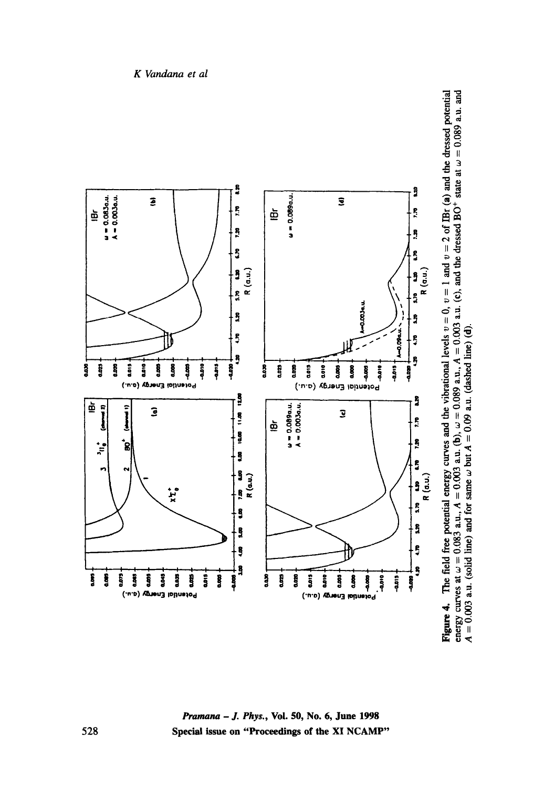

 $A = 0.003$  a.u. (solid line) and for same  $\omega$  but  $A = 0.09$  a.u. (dashed line) (d).

Pramana - J. Phys., Vol. 50, No. 6, June 1998 *N***0. 6, JUNG<br>of the XI N** 

# K Vandana et al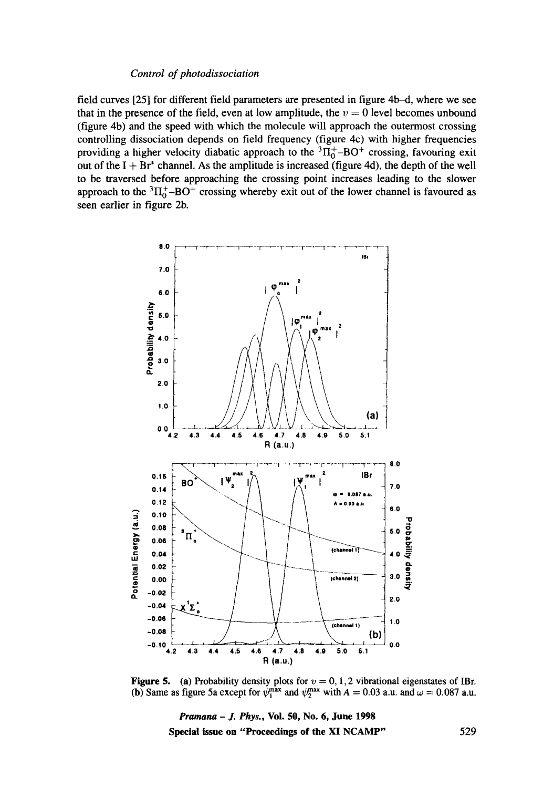field curves [25] for different field parameters are presented in figure 4b-d, where we see that in the presence of the field, even at low amplitude, the  $v = 0$  level becomes unbound (figure 4b) and the speed with which the molecule will approach the outermost crossing controlling dissociation depends on field frequency (figure 4c) with higher frequencies providing a higher velocity diabatic approach to the  ${}^{3}\Pi_{0}^{+}-BO^{+}$  crossing, favouring exit out of the  $I + Br^*$  channel. As the amplitude is increased (figure 4d), the depth of the well to be traversed before approaching the crossing point increases leading to the slower approach to the  ${}^{3}\Pi_{0}^{+}$ -BO<sup>+</sup> crossing whereby exit out of the lower channel is favoured as seen earlier in figure 2b.



Figure 5. (a) Probability density plots for  $v = 0, 1, 2$  vibrational eigenstates of IBr. (b) Same as figure 5a except for  $\psi_1^{\max}$  and  $\psi_2^{\max}$  with  $A = 0.03$  a.u. and  $\omega = 0.087$  a.u.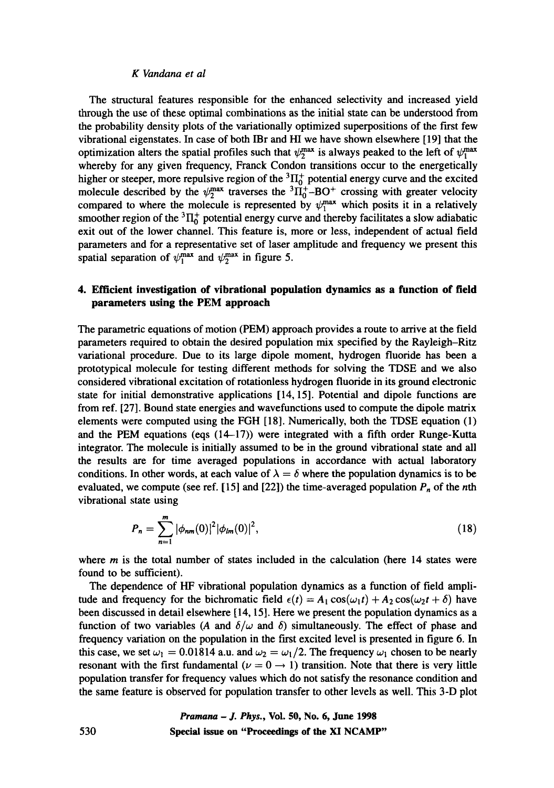The structural features responsible for the enhanced selectivity and increased yield through the use of these optimal combinations as the initial state can be understood from the probability density plots of the variationally optimized superpositions of the first few vibrational eigenstates. In case of both IBr and HI we have shown elsewhere [19] that the optimization alters the spatial profiles such that  $\psi_2^{\max}$  is always peaked to the left of  $\psi_1^{\max}$ whereby for any given frequency, Franck Condon transitions occur to the energetically higher or steeper, more repulsive region of the  ${}^{3}H_{0}^{+}$  potential energy curve and the excited molecule described by the  $\psi_2^{\text{max}}$  traverses the  ${}^3\Pi_0^+$ -BO<sup>+</sup> crossing with greater velocity compared to where the molecule is represented by  $\psi_1^{\max}$  which posits it in a relatively smoother region of the  ${}^{3} \Pi_{0}^{+}$  potential energy curve and thereby facilitates a slow adiabatic exit out of the lower channel. This feature is, more or less, independent of actual field parameters and for a representative set of laser amplitude and frequency we present this spatial separation of  $\psi_1^{\text{max}}$  and  $\psi_2^{\text{max}}$  in figure 5.

# **4. Efficient investigation of vibrational population dynamics as a function of field parameters using the PEM approach**

The parametric equations of motion (PEM) approach provides a route to arrive at the field parameters required to obtain the desired population mix specified by the Rayleigh-Ritz variational procedure. Due to its large dipole moment, hydrogen fluoride has been a prototypical molecule for testing different methods for solving the TDSE and we also considered vibrational excitation of rotationless hydrogen fluoride in its ground electronic state for initial demonstrative applications [14, 15]. Potential and dipole functions are from ref. [27]. Bound state energies and wavefunctions used to compute the dipole matrix elements were computed using the FGH [18]. Numerically, both the TDSE equation (1) and the PEM equations (eqs  $(14-17)$ ) were integrated with a fifth order Runge-Kutta integrator. The molecule is initially assumed to be in the ground vibrational state and all the results are for time averaged populations in accordance with actual laboratory conditions. In other words, at each value of  $\lambda = \delta$  where the population dynamics is to be evaluated, we compute (see ref. [15] and [22]) the time-averaged population  $P_n$  of the *n*th vibrational state using

$$
P_n = \sum_{n=1}^{m} |\phi_{nm}(0)|^2 |\phi_{lm}(0)|^2,
$$
\n(18)

where  $m$  is the total number of states included in the calculation (here  $14$  states were found to be sufficient).

The dependence of HF vibrational population dynamics as a function of field amplitude and frequency for the bichromatic field  $\epsilon(t) = A_1 \cos(\omega_1 t) + A_2 \cos(\omega_2 t + \delta)$  have been discussed in detail elsewhere [14, 15]. Here we present the population dynamics as a function of two variables (A and  $\delta/\omega$  and  $\delta$ ) simultaneously. The effect of phase and frequency variation on the population in the first excited level is presented in figure 6. In this case, we set  $\omega_1 = 0.01814$  a.u. and  $\omega_2 = \omega_1/2$ . The frequency  $\omega_1$  chosen to be nearly resonant with the first fundamental ( $\nu = 0 \rightarrow 1$ ) transition. Note that there is very little population transfer for frequency values which do not satisfy the resonance condition and the same feature is observed for population transfer to other levels as well. This 3-D plot

> *Pramana - J. Phys.,* **Vol. 50, No. 6, June 1998 Special issue on "Proceedings of the XI NCAMP"**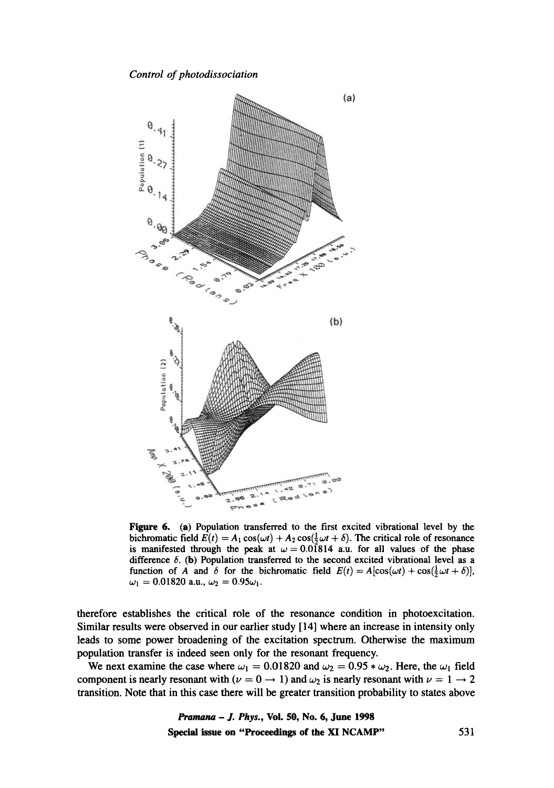

Figure 6. (a) Population transferred to the first excited vibrational level by the bichromatic field  $E(t) = A_1 \cos(\omega t) + A_2 \cos(\frac{1}{2}\omega t + \delta)$ . The critical role of resonance is manifested through the peak at  $\omega = 0.01814$  a.u. for all values of the phase difference  $\delta$ . (b) Population transferred to the second excited vibrational level as a function of A and  $\delta$  for the bichromatic field  $E(t) = A[\cos(\omega t) + \cos(\frac{1}{2}\omega t + \delta)],$  $\omega_1 = 0.01820$  a.u.,  $\omega_2 = 0.95\omega_1$ .

therefore establishes the critical role of the resonance condition in photoexcitation. Similar results were observed in our earlier study [14] where an increase in intensity only leads to some power broadening of the excitation spectrum. Otherwise the maximum population transfer is indeed seen only for the resonant frequency.

We next examine the case where  $\omega_1 = 0.01820$  and  $\omega_2 = 0.95 * \omega_2$ . Here, the  $\omega_1$  field component is nearly resonant with ( $\nu = 0 \rightarrow 1$ ) and  $\omega_2$  is nearly resonant with  $\nu = 1 \rightarrow 2$ transition. Note that in this case there will be greater transition probability to states above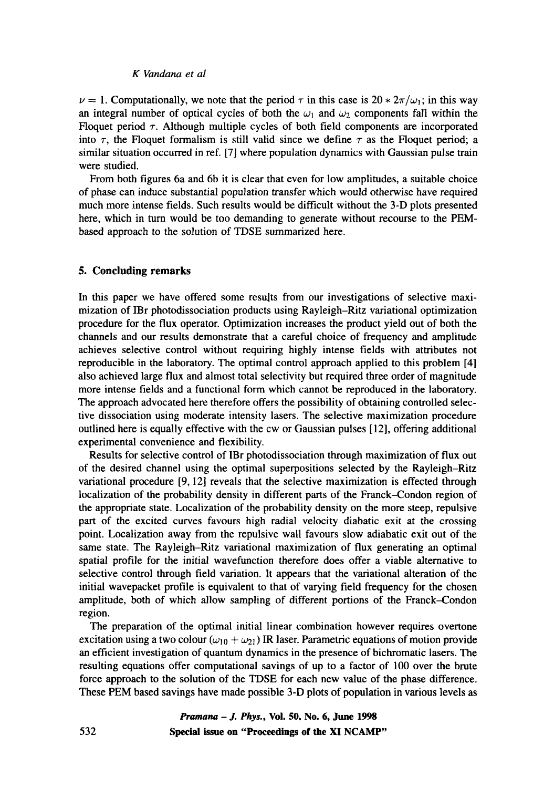$\nu = 1$ . Computationally, we note that the period  $\tau$  in this case is 20  $* 2\pi/\omega_1$ ; in this way an integral number of optical cycles of both the  $\omega_1$  and  $\omega_2$  components fall within the Floquet period  $\tau$ . Although multiple cycles of both field components are incorporated into  $\tau$ , the Floquet formalism is still valid since we define  $\tau$  as the Floquet period; a similar situation occurred in ref. [7] where population dynamics with Gaussian pulse train were studied.

From both figures 6a and 6b it is clear that even for low amplitudes, a suitable choice of phase can induce substantial population transfer which would otherwise have required much more intense fields. Such results would be difficult without the 3-D plots presented here, which in turn would be too demanding to generate without recourse to the PEMbased approach to the solution of TDSE summarized here.

#### **5. Concluding remarks**

In this paper we have offered some results from our investigations of selective maximization of IBr photodissociation products using Rayleigh-Ritz variational optimization procedure for the flux operator. Optimization increases the product yield out of both the channels and our results demonstrate that a careful choice of frequency and amplitude achieves selective control without requiring highly intense fields with attributes not reproducible in the laboratory. The optimal control approach applied to this problem [4] also achieved large flux and almost total selectivity but required three order of magnitude more intense fields and a functional form which cannot be reproduced in the laboratory. The approach advocated here therefore offers the possibility of obtaining controlled selective dissociation using moderate intensity lasers. The selective maximization procedure outlined here is equally effective with the cw or Gaussian pulses [12], offering additional experimental convenience and flexibility.

Results for selective control of IBr photodissociation through maximization of flux out of the desired channel using the optimal superpositions selected by the Rayleigh-Ritz variational procedure [9, 12] reveals that the selective maximization is effected through localization of the probability density in different parts of the Franck-Condon region of the appropriate state. Localization of the probability density on the more steep, repulsive part of the excited curves favours high radial velocity diabatic exit at the crossing point. Localization away from the repulsive wall favours slow adiabatic exit out of the same state. The Rayleigh-Ritz variational maximization of flux generating an optimal spatial profile for the initial wavefunction therefore does offer a viable alternative to selective control through field variation. It appears that the variational alteration of the initial wavepacket profile is equivalent to that of varying field frequency for the chosen amplitude, both of which allow sampling of different portions of the Franck-Condon region.

The preparation of the optimal initial linear combination however requires overtone excitation using a two colour ( $\omega_{10} + \omega_{21}$ ) IR laser. Parametric equations of motion provide an efficient investigation of quantum dynamics in the presence of bichromatic lasers. The resulting equations offer computational savings of up to a factor of 100 over the brute force approach to the solution of the TDSE for each new value of the phase difference. These PEM based savings have made possible 3-D plots of population in various levels as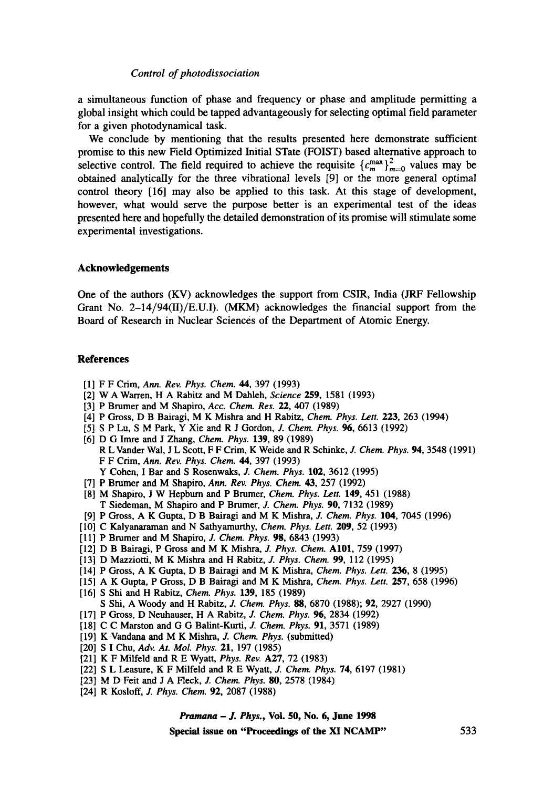a simultaneous function of phase and frequency or phase and amplitude permitting a global insight which could be tapped advantageously for selecting optimal field parameter for a given photodynamical task.

We conclude by mentioning that the results presented here demonstrate sufficient promise to this new Field Optimized Initial STate (FOIST) based alternative approach to selective control. The field required to achieve the requisite  ${c_m^{\max}}_{m=0}^2$  values may be obtained analytically for the three vibrational levels [9] or the more general optimal control theory [16] may also be applied to this task. At this stage of development, however, what would serve the purpose better is an experimental test of the ideas presented here and hopefully the detailed demonstration of its promise will stimulate some experimental investigations.

#### **Acknowledgements**

One of the authors (KV) acknowledges the support from CSIR, India (JRF Fellowship Grant No. 2-14/94(II)/E.U.I). (MKM) acknowledges the financial support from the Board of Research in Nuclear Sciences of the Department of Atomic Energy.

#### **References**

- [1] F F Crim, *Ann. Rev. Phys. Chem. 44,* 397 (1993)
- [2] W A Warren, H A Rabitz and M Dahleh, *Science* 259, 1581 (1993)
- [3] P Brumer and M Shapiro, *Acc. Chem. Res.* 22, 407 (1989)
- [4] P Gross, D B Bairagi, M K Mishra and H Rabitz, *Chem. Phys. Len.* 223, 263 (1994)
- [5] S P Lu, S M Park, Y Xie and R J Gordon, J. *Chem. Phys. 96,* 66t3 (1992)
- [6] D G Imre and J Zhang, *Chem. Phys.* 139, 89 (1989) R L Vander Wal, J L Scott, F F Crim, K Weide and R Schinke, *J. Chem. Phys.* 94, 3548 (1991) F F Crim, *Ann. Rev. Phys. Chem. 44,* 397 (1993) Y Cohen, I Bar and S Rosenwaks, *J. Chem. Phys.* **102**, 3612 (1995)
- [7] P Brumer and M Shapiro, *Ann. Rev. Phys. Chem.* 43, 257 (1992)
- [8] M Shapiro, J W Hepburn and P Brumer, *Chem. Phys. Lett.* 149, 451 (1988) T Siedeman, M Shapiro and P Brumer, J. *Chem. Phys. 90,* 7132 (1989)
- [9] P Gross, A K Gupta, D B Bairagi and M K Mishra, J. *Chem. Phys.* 104, 7045 (1996)
- [10] C Kalyanaraman and N Sathyamurthy, *Chem. Phys. Lett.* 209, 52 (1993)
- [11] P Brumer and M Shapiro, *J. Chem. Phys.* 98, 6843 (1993)
- [12] D B Bairagi, P Gross and M K Mishra, *J. Phys. Chem.* A101, 759 (1997)
- [13] D Mazziotti, M K Mishra and H Rabitz, J. *Phys. Chem. 99,* 112 (1995)
- [14] P Gross, A K Gupta, D B Bairagi and M K Mishra, *Chem. Phys. Len.* 236, 8 (1995)
- [15] A K Gupta, P Gross, D B Bairagi and M K Mishra, *Chem. Phys.* Lett. 257, 658 (1996)
- [16] S Shi and H Rabitz, *Chem. Phys.* 139, 185 (1989) S Shi, A Woody and H Rabitz, J. *Chem. Phys. 88,* 6870 (1988); 92, 2927 (1990)
- [17] P Gross, D Neuhauser, H A Rabitz, J. *Chem. Phys.* 96, 2834 (1992)
- [18] C C Marston and G G Balint-Kurti, J. *Chem. Phys.* 91, 3571 (1989)
- [19] K Vandana and M K Mishra, J. *Chem. Phys.* (submitted)
- [20] S I Chu, *Adv. At. Mol. Phys.* 21, 197 (1985)
- [21] K F Milfeld and R E Wyatt, *Phys. Rev.* A27, 72 (1983)
- [22] S L Leasure, K F Milfeld and R E Wyatt, *J. Chem. Phys.* 74, 6197 (1981)
- [23] M D Feit and J A Fleck, Z *Chem. Phys.* 80, 2578 (1984)
- [24] R Kosloff, J. *Phys. Chem.* 92, 2087 (1988)

*Pramana - J. Phys.,* **Vol. 50, No. 6, June 1998** 

**Special issue on "Proceedings of the XI NCAMP"** 533